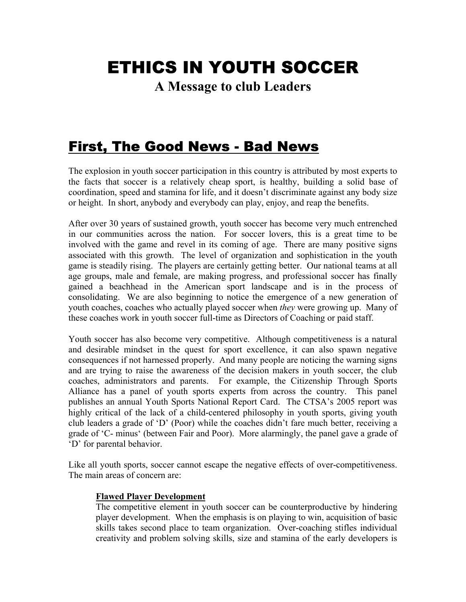# ETHICS IN YOUTH SOCCER

**A Message to club Leaders** 

### First, The Good News - Bad News

The explosion in youth soccer participation in this country is attributed by most experts to the facts that soccer is a relatively cheap sport, is healthy, building a solid base of coordination, speed and stamina for life, and it doesn't discriminate against any body size or height. In short, anybody and everybody can play, enjoy, and reap the benefits.

After over 30 years of sustained growth, youth soccer has become very much entrenched in our communities across the nation. For soccer lovers, this is a great time to be involved with the game and revel in its coming of age. There are many positive signs associated with this growth. The level of organization and sophistication in the youth game is steadily rising. The players are certainly getting better. Our national teams at all age groups, male and female, are making progress, and professional soccer has finally gained a beachhead in the American sport landscape and is in the process of consolidating. We are also beginning to notice the emergence of a new generation of youth coaches, coaches who actually played soccer when *they* were growing up. Many of these coaches work in youth soccer full-time as Directors of Coaching or paid staff.

Youth soccer has also become very competitive. Although competitiveness is a natural and desirable mindset in the quest for sport excellence, it can also spawn negative consequences if not harnessed properly. And many people are noticing the warning signs and are trying to raise the awareness of the decision makers in youth soccer, the club coaches, administrators and parents. For example, the Citizenship Through Sports Alliance has a panel of youth sports experts from across the country. This panel publishes an annual Youth Sports National Report Card. The CTSA's 2005 report was highly critical of the lack of a child-centered philosophy in youth sports, giving youth club leaders a grade of 'D' (Poor) while the coaches didn't fare much better, receiving a grade of 'C- minus' (between Fair and Poor). More alarmingly, the panel gave a grade of 'D' for parental behavior.

Like all youth sports, soccer cannot escape the negative effects of over-competitiveness. The main areas of concern are:

#### **Flawed Player Development**

The competitive element in youth soccer can be counterproductive by hindering player development. When the emphasis is on playing to win, acquisition of basic skills takes second place to team organization. Over-coaching stifles individual creativity and problem solving skills, size and stamina of the early developers is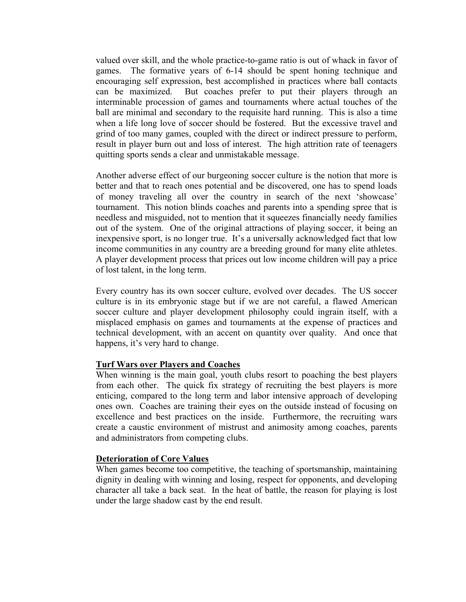valued over skill, and the whole practice-to-game ratio is out of whack in favor of games. The formative years of 6-14 should be spent honing technique and encouraging self expression, best accomplished in practices where ball contacts can be maximized. But coaches prefer to put their players through an interminable procession of games and tournaments where actual touches of the ball are minimal and secondary to the requisite hard running. This is also a time when a life long love of soccer should be fostered. But the excessive travel and grind of too many games, coupled with the direct or indirect pressure to perform, result in player burn out and loss of interest. The high attrition rate of teenagers quitting sports sends a clear and unmistakable message.

Another adverse effect of our burgeoning soccer culture is the notion that more is better and that to reach ones potential and be discovered, one has to spend loads of money traveling all over the country in search of the next 'showcase' tournament. This notion blinds coaches and parents into a spending spree that is needless and misguided, not to mention that it squeezes financially needy families out of the system. One of the original attractions of playing soccer, it being an inexpensive sport, is no longer true. It's a universally acknowledged fact that low income communities in any country are a breeding ground for many elite athletes. A player development process that prices out low income children will pay a price of lost talent, in the long term.

Every country has its own soccer culture, evolved over decades. The US soccer culture is in its embryonic stage but if we are not careful, a flawed American soccer culture and player development philosophy could ingrain itself, with a misplaced emphasis on games and tournaments at the expense of practices and technical development, with an accent on quantity over quality. And once that happens, it's very hard to change.

#### **Turf Wars over Players and Coaches**

When winning is the main goal, youth clubs resort to poaching the best players from each other. The quick fix strategy of recruiting the best players is more enticing, compared to the long term and labor intensive approach of developing ones own. Coaches are training their eyes on the outside instead of focusing on excellence and best practices on the inside. Furthermore, the recruiting wars create a caustic environment of mistrust and animosity among coaches, parents and administrators from competing clubs.

#### **Deterioration of Core Values**

When games become too competitive, the teaching of sportsmanship, maintaining dignity in dealing with winning and losing, respect for opponents, and developing character all take a back seat. In the heat of battle, the reason for playing is lost under the large shadow cast by the end result.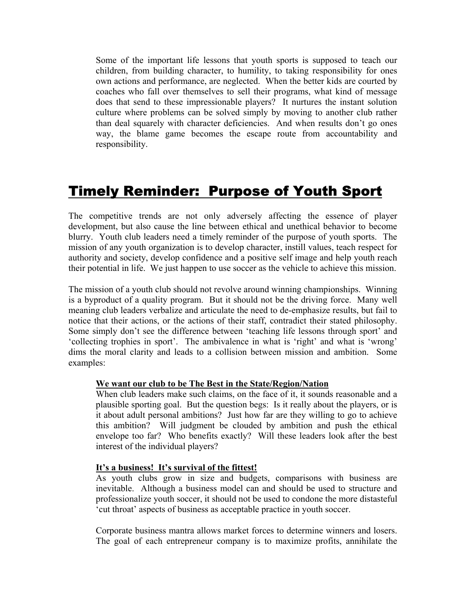Some of the important life lessons that youth sports is supposed to teach our children, from building character, to humility, to taking responsibility for ones own actions and performance, are neglected. When the better kids are courted by coaches who fall over themselves to sell their programs, what kind of message does that send to these impressionable players? It nurtures the instant solution culture where problems can be solved simply by moving to another club rather than deal squarely with character deficiencies. And when results don't go ones way, the blame game becomes the escape route from accountability and responsibility.

### Timely Reminder: Purpose of Youth Sport

The competitive trends are not only adversely affecting the essence of player development, but also cause the line between ethical and unethical behavior to become blurry. Youth club leaders need a timely reminder of the purpose of youth sports. The mission of any youth organization is to develop character, instill values, teach respect for authority and society, develop confidence and a positive self image and help youth reach their potential in life. We just happen to use soccer as the vehicle to achieve this mission.

The mission of a youth club should not revolve around winning championships. Winning is a byproduct of a quality program. But it should not be the driving force. Many well meaning club leaders verbalize and articulate the need to de-emphasize results, but fail to notice that their actions, or the actions of their staff, contradict their stated philosophy. Some simply don't see the difference between 'teaching life lessons through sport' and 'collecting trophies in sport'. The ambivalence in what is 'right' and what is 'wrong' dims the moral clarity and leads to a collision between mission and ambition. Some examples:

#### **We want our club to be The Best in the State/Region/Nation**

When club leaders make such claims, on the face of it, it sounds reasonable and a plausible sporting goal. But the question begs: Is it really about the players, or is it about adult personal ambitions? Just how far are they willing to go to achieve this ambition? Will judgment be clouded by ambition and push the ethical envelope too far? Who benefits exactly? Will these leaders look after the best interest of the individual players?

#### **It's a business! It's survival of the fittest!**

As youth clubs grow in size and budgets, comparisons with business are inevitable. Although a business model can and should be used to structure and professionalize youth soccer, it should not be used to condone the more distasteful 'cut throat' aspects of business as acceptable practice in youth soccer.

Corporate business mantra allows market forces to determine winners and losers. The goal of each entrepreneur company is to maximize profits, annihilate the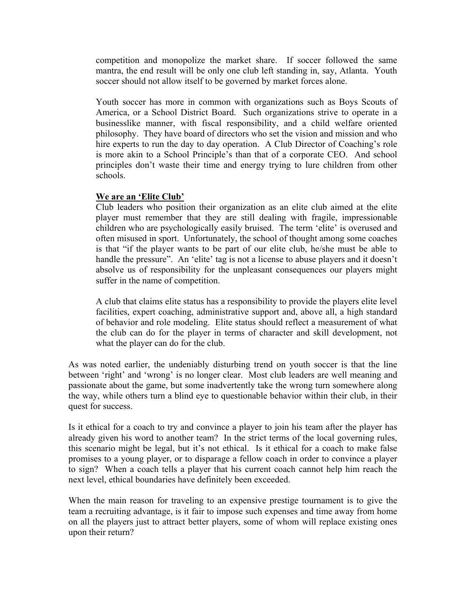competition and monopolize the market share. If soccer followed the same mantra, the end result will be only one club left standing in, say, Atlanta. Youth soccer should not allow itself to be governed by market forces alone.

Youth soccer has more in common with organizations such as Boys Scouts of America, or a School District Board. Such organizations strive to operate in a businesslike manner, with fiscal responsibility, and a child welfare oriented philosophy. They have board of directors who set the vision and mission and who hire experts to run the day to day operation. A Club Director of Coaching's role is more akin to a School Principle's than that of a corporate CEO. And school principles don't waste their time and energy trying to lure children from other schools.

#### **We are an 'Elite Club'**

Club leaders who position their organization as an elite club aimed at the elite player must remember that they are still dealing with fragile, impressionable children who are psychologically easily bruised. The term 'elite' is overused and often misused in sport. Unfortunately, the school of thought among some coaches is that "if the player wants to be part of our elite club, he/she must be able to handle the pressure". An 'elite' tag is not a license to abuse players and it doesn't absolve us of responsibility for the unpleasant consequences our players might suffer in the name of competition.

A club that claims elite status has a responsibility to provide the players elite level facilities, expert coaching, administrative support and, above all, a high standard of behavior and role modeling. Elite status should reflect a measurement of what the club can do for the player in terms of character and skill development, not what the player can do for the club.

As was noted earlier, the undeniably disturbing trend on youth soccer is that the line between 'right' and 'wrong' is no longer clear. Most club leaders are well meaning and passionate about the game, but some inadvertently take the wrong turn somewhere along the way, while others turn a blind eye to questionable behavior within their club, in their quest for success.

Is it ethical for a coach to try and convince a player to join his team after the player has already given his word to another team? In the strict terms of the local governing rules, this scenario might be legal, but it's not ethical. Is it ethical for a coach to make false promises to a young player, or to disparage a fellow coach in order to convince a player to sign? When a coach tells a player that his current coach cannot help him reach the next level, ethical boundaries have definitely been exceeded.

When the main reason for traveling to an expensive prestige tournament is to give the team a recruiting advantage, is it fair to impose such expenses and time away from home on all the players just to attract better players, some of whom will replace existing ones upon their return?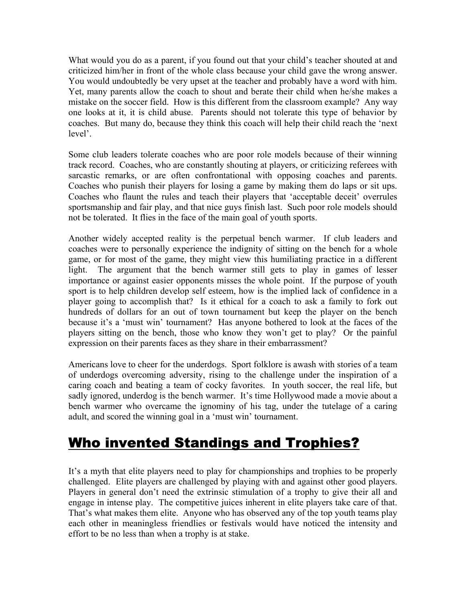What would you do as a parent, if you found out that your child's teacher shouted at and criticized him/her in front of the whole class because your child gave the wrong answer. You would undoubtedly be very upset at the teacher and probably have a word with him. Yet, many parents allow the coach to shout and berate their child when he/she makes a mistake on the soccer field. How is this different from the classroom example? Any way one looks at it, it is child abuse. Parents should not tolerate this type of behavior by coaches. But many do, because they think this coach will help their child reach the 'next level'.

Some club leaders tolerate coaches who are poor role models because of their winning track record. Coaches, who are constantly shouting at players, or criticizing referees with sarcastic remarks, or are often confrontational with opposing coaches and parents. Coaches who punish their players for losing a game by making them do laps or sit ups. Coaches who flaunt the rules and teach their players that 'acceptable deceit' overrules sportsmanship and fair play, and that nice guys finish last. Such poor role models should not be tolerated. It flies in the face of the main goal of youth sports.

Another widely accepted reality is the perpetual bench warmer. If club leaders and coaches were to personally experience the indignity of sitting on the bench for a whole game, or for most of the game, they might view this humiliating practice in a different light. The argument that the bench warmer still gets to play in games of lesser importance or against easier opponents misses the whole point. If the purpose of youth sport is to help children develop self esteem, how is the implied lack of confidence in a player going to accomplish that? Is it ethical for a coach to ask a family to fork out hundreds of dollars for an out of town tournament but keep the player on the bench because it's a 'must win' tournament? Has anyone bothered to look at the faces of the players sitting on the bench, those who know they won't get to play? Or the painful expression on their parents faces as they share in their embarrassment?

Americans love to cheer for the underdogs. Sport folklore is awash with stories of a team of underdogs overcoming adversity, rising to the challenge under the inspiration of a caring coach and beating a team of cocky favorites. In youth soccer, the real life, but sadly ignored, underdog is the bench warmer. It's time Hollywood made a movie about a bench warmer who overcame the ignominy of his tag, under the tutelage of a caring adult, and scored the winning goal in a 'must win' tournament.

### Who invented Standings and Trophies?

It's a myth that elite players need to play for championships and trophies to be properly challenged. Elite players are challenged by playing with and against other good players. Players in general don't need the extrinsic stimulation of a trophy to give their all and engage in intense play. The competitive juices inherent in elite players take care of that. That's what makes them elite. Anyone who has observed any of the top youth teams play each other in meaningless friendlies or festivals would have noticed the intensity and effort to be no less than when a trophy is at stake.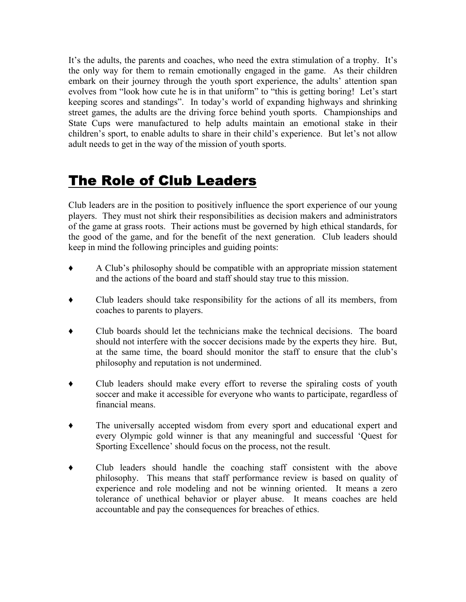It's the adults, the parents and coaches, who need the extra stimulation of a trophy. It's the only way for them to remain emotionally engaged in the game. As their children embark on their journey through the youth sport experience, the adults' attention span evolves from "look how cute he is in that uniform" to "this is getting boring! Let's start keeping scores and standings". In today's world of expanding highways and shrinking street games, the adults are the driving force behind youth sports. Championships and State Cups were manufactured to help adults maintain an emotional stake in their children's sport, to enable adults to share in their child's experience. But let's not allow adult needs to get in the way of the mission of youth sports.

## The Role of Club Leaders

Club leaders are in the position to positively influence the sport experience of our young players. They must not shirk their responsibilities as decision makers and administrators of the game at grass roots. Their actions must be governed by high ethical standards, for the good of the game, and for the benefit of the next generation. Club leaders should keep in mind the following principles and guiding points:

- ♦ A Club's philosophy should be compatible with an appropriate mission statement and the actions of the board and staff should stay true to this mission.
- Club leaders should take responsibility for the actions of all its members, from coaches to parents to players.
- ♦ Club boards should let the technicians make the technical decisions. The board should not interfere with the soccer decisions made by the experts they hire. But, at the same time, the board should monitor the staff to ensure that the club's philosophy and reputation is not undermined.
- ♦ Club leaders should make every effort to reverse the spiraling costs of youth soccer and make it accessible for everyone who wants to participate, regardless of financial means.
- ♦ The universally accepted wisdom from every sport and educational expert and every Olympic gold winner is that any meaningful and successful 'Quest for Sporting Excellence' should focus on the process, not the result.
- ♦ Club leaders should handle the coaching staff consistent with the above philosophy. This means that staff performance review is based on quality of experience and role modeling and not be winning oriented. It means a zero tolerance of unethical behavior or player abuse. It means coaches are held accountable and pay the consequences for breaches of ethics.